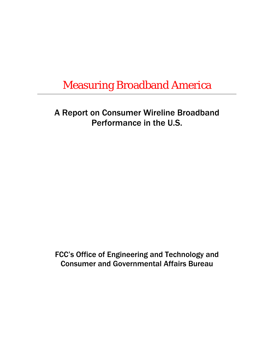# Measuring Broadband America

A Report on Consumer Wireline Broadband Performance in the U.S.

FCC's Office of Engineering and Technology and Consumer and Governmental Affairs Bureau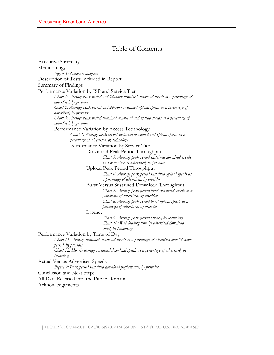### Table of Contents

| <b>Executive Summary</b>                                                                                       |
|----------------------------------------------------------------------------------------------------------------|
| Methodology                                                                                                    |
| Figure 1: Network diagram                                                                                      |
| Description of Tests Included in Report                                                                        |
| Summary of Findings                                                                                            |
| Performance Variation by ISP and Service Tier                                                                  |
| Chart 1: Average peak period and 24-hour sustained download speeds as a percentage of                          |
| advertised, by provider                                                                                        |
| Chart 2: Average peak period and 24-hour sustained upload speeds as a percentage of<br>advertised, by provider |
| Chart 3: Average peak period sustained download and upload speeds as a percentage of                           |
| advertised, by provider                                                                                        |
| Performance Variation by Access Technology                                                                     |
| Chart 4: Average peak period sustained download and upload speeds as a                                         |
| percentage of advertised, by technology                                                                        |
| Performance Variation by Service Tier                                                                          |
| Download Peak Period Throughput                                                                                |
| Chart 5: Average peak period sustained download speeds                                                         |
| as a percentage of advertised, by provider                                                                     |
| Upload Peak Period Throughput                                                                                  |
| Chart 6: Average peak period sustained upload speeds as                                                        |
| a percentage of advertised, by provider                                                                        |
| Burst Versus Sustained Download Throughput                                                                     |
| Chart 7: Average peak period burst download speeds as a                                                        |
| percentage of advertised, by provider                                                                          |
| Chart 8: Average peak period burst upload speeds as a                                                          |
| percentage of advertised, by provider                                                                          |
| Latency                                                                                                        |
| Chart 9: Average peak period latency, by technology                                                            |
| Chart 10: Web loading time by advertised download<br>speed, by technology                                      |
| Performance Variation by Time of Day                                                                           |
| Chart 11: Average sustained download speeds as a percentage of advertised over 24-hour                         |
| period, by provider                                                                                            |
| Chart 12: Hourly average sustained download speeds as a percentage of advertised, by                           |
| technology                                                                                                     |
| <b>Actual Versus Advertised Speeds</b>                                                                         |
| Figure 2: Peak period sustained download performance, by provider                                              |
| Conclusion and Next Steps                                                                                      |
| All Data Released into the Public Domain                                                                       |
| Acknowledgements                                                                                               |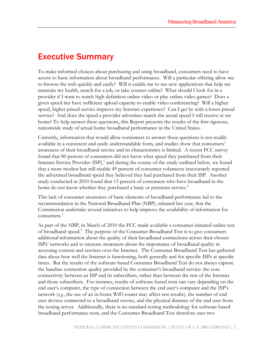### Executive Summary

To make informed choices about purchasing and using broadband, consumers need to have access to basic information about broadband performance. Will a particular offering allow me to browse the web quickly and easily? Will it enable me to use new applications that help me maintain my health, search for a job, or take courses online? What should I look for in a provider if I want to watch high definition online video or play online video games? Does a given speed tier have sufficient upload capacity to enable video conferencing? Will a higher speed, higher priced service improve my Internet experience? Can I get by with a lower priced service? And does the speed a provider advertises match the actual speed I will receive at my home? To help answer these questions, this Report presents the results of the first rigorous, nationwide study of actual home broadband performance in the United States.

Currently, information that would allow consumers to answer these questions is not readily available in a consistent and easily understandable form, and studies show that consumers' awareness of their broadband service and its characteristics is limited. A recent FCC survey found that 80 percent of consumers did not know what speed they purchased from their Internet Service Provider  $(ISP)$ ,<sup>1</sup> and during the course of the study outlined below, we found that a more modest but still sizable 49 percent of consumer volunteers inaccurately reported the advertised broadband speed they believed they had purchased from their ISP. Another study conducted in 2010 found that 13 percent of consumers who have broadband in the home do not know whether they purchased a basic or premium service.<sup>2</sup>

This lack of consumer awareness of basic elements of broadband performance led to the recommendation in the National Broadband Plan (NBP), released last year, that the Commission undertake several initiatives to help improve the availability of information for consumers.<sup>3</sup>

As part of the NBP, in March of 2010 the FCC made available a consumer-initiated online test of broadband speed.4 The purpose of the Consumer Broadband Test is to give consumers additional information about the quality of their broadband connections across their chosen ISPs' networks and to increase awareness about the importance of broadband quality in accessing content and services over the Internet. The Consumer Broadband Test has gathered data about how well the Internet is functioning, both generally and for specific ISPs at specific times. But the results of the software-based Consumer Broadband Test do not always capture the baseline connection quality provided by the consumer's broadband service: the core connectivity between an ISP and its subscribers, rather than between the rest of the Internet and those subscribers. For instance, results of software-based tests can vary depending on the end user's computer, the type of connection between the end user's computer and the ISP's network (*e.g.*, the use of an in-home WiFi router may affect test results), the number of end user devices connected to a broadband service, and the physical distance of the end user from the testing server. Additionally, there is no standard testing methodology for software-based broadband performance tests, and the Consumer Broadband Test therefore uses two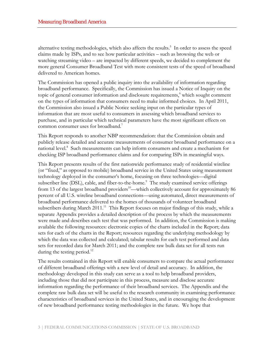alternative testing methodologies, which also affects the results.<sup>5</sup> In order to assess the speed claims made by ISPs, and to see how particular activities – such as browsing the web or watching streaming video – are impacted by different speeds, we decided to complement the more general Consumer Broadband Test with more consistent tests of the speed of broadband delivered to American homes.

The Commission has opened a public inquiry into the availability of information regarding broadband performance. Specifically, the Commission has issued a Notice of Inquiry on the topic of general consumer information and disclosure requirements,<sup>6</sup> which sought comment on the types of information that consumers need to make informed choices. In April 2011, the Commission also issued a Public Notice seeking input on the particular types of information that are most useful to consumers in assessing which broadband services to purchase, and in particular which technical parameters have the most significant effects on common consumer uses for broadband.<sup>7</sup>

This Report responds to another NBP recommendation: that the Commission obtain and publicly release detailed and accurate measurements of consumer broadband performance on a national level.<sup>8</sup> Such measurements can help inform consumers and create a mechanism for checking ISP broadband performance claims and for comparing ISPs in meaningful ways.

This Report presents results of the first nationwide performance study of residential wireline (or "fixed," as opposed to mobile) broadband service in the United States using measurement technology deployed in the consumer's home, focusing on three technologies—digital subscriber line (DSL), cable, and fiber-to-the-home.<sup>9</sup> The study examined service offerings from 13 of the largest broadband providers<sup>10</sup>—which collectively account for approximately 86 percent of all U.S. wireline broadband connections—using automated, direct measurements of broadband performance delivered to the homes of thousands of volunteer broadband subscribers during March  $2011$ .<sup>11</sup> This Report focuses on major findings of this study, while a separate Appendix provides a detailed description of the process by which the measurements were made and describes each test that was performed. In addition, the Commission is making available the following resources: electronic copies of the charts included in the Report; data sets for each of the charts in the Report; resources regarding the underlying methodology by which the data was collected and calculated; tabular results for each test performed and data sets for recorded data for March 2011; and the complete raw bulk data set for all tests run during the testing period.<sup>12</sup>

The results contained in this Report will enable consumers to compare the actual performance of different broadband offerings with a new level of detail and accuracy. In addition, the methodology developed in this study can serve as a tool to help broadband providers, including those that did not participate in this process, measure and disclose accurate information regarding the performance of their broadband services. The Appendix and the complete raw bulk data set will be useful to the research community in examining performance characteristics of broadband services in the United States, and in encouraging the development of new broadband performance testing methodologies in the future. We hope that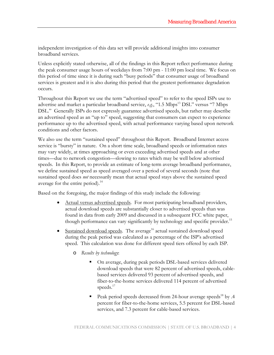independent investigation of this data set will provide additional insights into consumer broadband services.

Unless explicitly stated otherwise, all of the findings in this Report reflect performance during the peak consumer usage hours of weekdays from 7:00 pm - 11:00 pm local time. We focus on this period of time since it is during such "busy periods" that consumer usage of broadband services is greatest and it is also during this period that the greatest performance degradation occurs.

Throughout this Report we use the term "advertised speed" to refer to the speed ISPs use to advertise and market a particular broadband service, *e.g.*, "1.5 Mbps<sup>13</sup> DSL" versus "7 Mbps DSL." Generally ISPs do not expressly guarantee advertised speeds, but rather may describe an advertised speed as an "up to" speed, suggesting that consumers can expect to experience performance up to the advertised speed, with actual performance varying based upon network conditions and other factors.

We also use the term "sustained speed" throughout this Report. Broadband Internet access service is "bursty" in nature. On a short time scale, broadband speeds or information rates may vary widely, at times approaching or even exceeding advertised speeds and at other times—due to network congestion—slowing to rates which may be well below advertised speeds. In this Report, to provide an estimate of long-term average broadband performance, we define sustained speed as speed averaged over a period of several seconds (note that sustained speed does *not* necessarily mean that actual speed stays above the sustained speed average for the entire period).<sup>14</sup>

Based on the foregoing, the major findings of this study include the following:

- Actual versus advertised speeds. For most participating broadband providers, actual download speeds are substantially closer to advertised speeds than was found in data from early 2009 and discussed in a subsequent FCC white paper, though performance can vary significantly by technology and specific provider.<sup>15</sup>
- Sustained download speeds. The average<sup>16</sup> actual sustained download speed during the peak period was calculated as a percentage of the ISP's advertised speed. This calculation was done for different speed tiers offered by each ISP.
	- o *Results by technology*:
		- On average, during peak periods DSL-based services delivered download speeds that were 82 percent of advertised speeds, cablebased services delivered 93 percent of advertised speeds, and fiber-to-the-home services delivered 114 percent of advertised speeds.<sup>17</sup>
		- Peak period speeds decreased from 24-hour average speeds<sup>18</sup> by .4 percent for fiber-to-the-home services, 5.5 percent for DSL-based services, and 7.3 percent for cable-based services.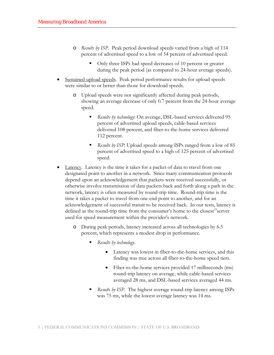- o *Results by ISP*. Peak period download speeds varied from a high of 114 percent of advertised speed to a low of 54 percent of advertised speed.
	- Only three ISPs had speed decreases of 10 percent or greater during the peak period (as compared to 24-hour average speeds).
- Sustained upload speeds. Peak period performance results for upload speeds were similar to or better than those for download speeds.
	- o Upload speeds were not significantly affected during peak periods, showing an average decrease of only 0.7 percent from the 24-hour average speed.
		- *Results by technology*: On average, DSL-based services delivered 95 percent of advertised upload speeds, cable-based services delivered 108 percent, and fiber-to-the-home services delivered 112 percent.
		- *Results by ISP*: Upload speeds among ISPs ranged from a low of 85 percent of advertised speed to a high of 125 percent of advertised speed.
- Latency. Latency is the time it takes for a packet of data to travel from one designated point to another in a network. Since many communication protocols depend upon an acknowledgement that packets were received successfully, or otherwise involve transmission of data packets back and forth along a path in the network, latency is often measured by round-trip time. Round-trip time is the time it takes a packet to travel from one end point to another, and for an acknowledgement of successful transit to be received back. In our tests, latency is defined as the round-trip time from the consumer's home to the closest<sup>19</sup>server used for speed measurement within the provider's network.
	- o During peak periods, latency increased across all technologies by 6.5 percent, which represents a modest drop in performance.
		- *Results by technology*.
			- Latency was lowest in fiber-to-the-home services, and this finding was true across all fiber-to-the-home speed tiers.
			- Fiber-to-the-home services provided 17 milliseconds (ms) round-trip latency on average, while cable-based services averaged 28 ms, and DSL-based services averaged 44 ms.
		- *Results by ISP*. The highest average round-trip latency among ISPs was 75 ms, while the lowest average latency was 14 ms.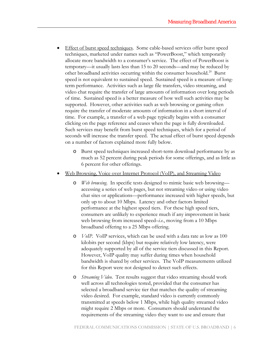- Effect of burst speed techniques. Some cable-based services offer burst speed techniques, marketed under names such as "PowerBoost," which temporarily allocate more bandwidth to a consumer's service. The effect of PowerBoost is temporary—it usually lasts less than 15 to 20 seconds—and may be reduced by other broadband activities occurring within the consumer household.<sup>20</sup> Burst speed is not equivalent to sustained speed. Sustained speed is a measure of longterm performance. Activities such as large file transfers, video streaming, and video chat require the transfer of large amounts of information over long periods of time. Sustained speed is a better measure of how well such activities may be supported. However, other activities such as web browsing or gaming often require the transfer of moderate amounts of information in a short interval of time. For example, a transfer of a web page typically begins with a consumer clicking on the page reference and ceases when the page is fully downloaded. Such services may benefit from burst speed techniques, which for a period of seconds will increase the transfer speed. The actual effect of burst speed depends on a number of factors explained more fully below.
	- o Burst speed techniques increased short-term download performance by as much as 52 percent during peak periods for some offerings, and as little as 6 percent for other offerings.
- Web Browsing, Voice over Internet Protocol (VoIP), and Streaming Video
	- o *Web browsing*. In specific tests designed to mimic basic web browsing accessing a series of web pages, but not streaming video or using video chat sites or applications—performance increased with higher speeds, but only up to about 10 Mbps. Latency and other factors limited performance at the highest speed tiers. For these high speed tiers, consumers are unlikely to experience much if any improvement in basic web browsing from increased speed–*i.e.*, moving from a 10 Mbps broadband offering to a 25 Mbps offering.
	- o *VoIP*. VoIP services, which can be used with a data rate as low as 100 kilobits per second (kbps) but require relatively low latency, were adequately supported by all of the service tiers discussed in this Report. However, VoIP quality may suffer during times when household bandwidth is shared by other services. The VoIP measurements utilized for this Report were not designed to detect such effects.
	- o *Streaming Video*. Test results suggest that video streaming should work well across all technologies tested, provided that the consumer has selected a broadband service tier that matches the quality of streaming video desired. For example, standard video is currently commonly transmitted at speeds below 1 Mbps, while high quality streamed video might require 2 Mbps or more. Consumers should understand the requirements of the streaming video they want to use and ensure that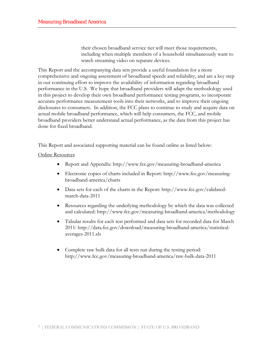their chosen broadband service tier will meet those requirements, including when multiple members of a household simultaneously want to watch streaming video on separate devices.

This Report and the accompanying data sets provide a useful foundation for a more comprehensive and ongoing assessment of broadband speeds and reliability, and are a key step in our continuing effort to improve the availability of information regarding broadband performance in the U.S. We hope that broadband providers will adapt the methodology used in this project to develop their own broadband performance testing programs, to incorporate accurate performance measurement tools into their networks, and to improve their ongoing disclosures to consumers. In addition, the FCC plans to continue to study and acquire data on actual mobile broadband performance, which will help consumers, the FCC, and mobile broadband providers better understand actual performance, as the data from this project has done for fixed broadband.

This Report and associated supporting material can be found online as listed below:

#### Online Resources

- Report and Appendix: http://www.fcc.gov/measuring-broadband-america
- Electronic copies of charts included in Report: http://www.fcc.gov/measuringbroadband-america/charts
- Data sets for each of the charts in the Report: http://www.fcc.gov/validatedmarch-data-2011
- Resources regarding the underlying methodology by which the data was collected and calculated: http://www.fcc.gov/measuring-broadband-america/methodology
- Tabular results for each test performed and data sets for recorded data for March 2011: [http://data.fcc.gov/download/measuring-broadband-america/statistical](http://data.fcc.gov/download/measuring-broadband-america/statistical-averages-2011.xls)[averages-2011.xls](http://data.fcc.gov/download/measuring-broadband-america/statistical-averages-2011.xls)
- Complete raw bulk data for all tests run during the testing period: http://www.fcc.gov/measuring-broadband-america/raw-bulk-data-2011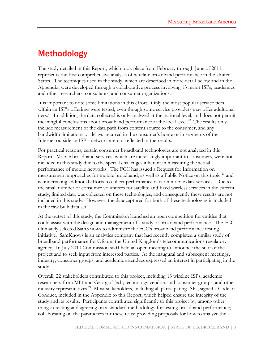### Methodology

The study detailed in this Report, which took place from February through June of 2011, represents the first comprehensive analysis of wireline broadband performance in the United States. The techniques used in the study, which are described in more detail below and in the Appendix, were developed through a collaborative process involving 13 major ISPs, academics and other researchers, consultants, and consumer organizations.

It is important to note some limitations in this effort. Only the most popular service tiers within an ISP's offerings were tested, even though some service providers may offer additional tiers.<sup>21</sup> In addition, the data collected is only analyzed at the national level, and does not permit meaningful conclusions about broadband performance at the local level.<sup>22</sup> The results only include measurement of the data path from content source to the consumer, and any bandwidth limitations or delays incurred in the consumer's home or in segments of the Internet outside an ISP's network are not reflected in the results.

For practical reasons, certain consumer broadband technologies are not analyzed in this Report. Mobile broadband services, which are increasingly important to consumers, were not included in this study due to the special challenges inherent in measuring the actual performance of mobile networks. The FCC has issued a Request for Information on measurement approaches for mobile broadband, as well as a Public Notice on this topic,<sup>23</sup> and is undertaking additional efforts to collect performance data on mobile data services. Due to the small number of consumer volunteers for satellite and fixed wireless services in the current study, limited data was collected on these technologies, and consequently these results are not included in this study. However, the data captured for both of these technologies is included in the raw bulk data set.

At the outset of this study, the Commission launched an open competition for entities that could assist with the design and management of a study of broadband performance. The FCC ultimately selected SamKnows to administer the FCC's broadband performance testing initiative. SamKnows is an analytics company that had recently completed a similar study of broadband performance for Ofcom, the United Kingdom's telecommunications regulatory agency. In July 2010 Commission staff held an open meeting to announce the start of the project and to seek input from interested parties. At the inaugural and subsequent meetings, industry, consumer groups, and academic attendees expressed an interest in participating in the study.

Overall, 22 stakeholders contributed to this project, including 13 wireline ISPs; academic researchers from MIT and Georgia Tech; technology vendors and consumer groups; and other industry representatives.<sup>24</sup> Most stakeholders, including all participating ISPs, signed a Code of Conduct, included in the Appendix to this Report, which helped ensure the integrity of the study and its results. Participants contributed significantly to this project by, among other things: creating and agreeing on a standard methodology for testing broadband performance; collaborating on the parameters for these tests; providing proposals for how to analyze the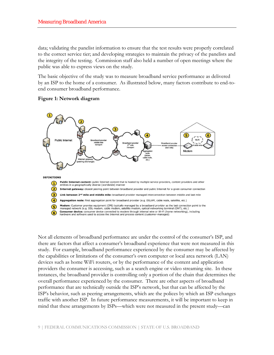data; validating the panelist information to ensure that the test results were properly correlated to the correct service tier; and developing strategies to maintain the privacy of the panelists and the integrity of the testing. Commission staff also held a number of open meetings where the public was able to express views on the study.

The basic objective of the study was to measure broadband service performance as delivered by an ISP to the home of a consumer. As illustrated below, many factors contribute to end-toend consumer broadband performance.





Not all elements of broadband performance are under the control of the consumer's ISP, and there are factors that affect a consumer's broadband experience that were not measured in this study. For example, broadband performance experienced by the consumer may be affected by the capabilities or limitations of the consumer's own computer or local area network (LAN) devices such as home WiFi routers, or by the performance of the content and application providers the consumer is accessing, such as a search engine or video streaming site. In these instances, the broadband provider is controlling only a portion of the chain that determines the overall performance experienced by the consumer. There are other aspects of broadband performance that are technically outside the ISP's network, but that can be affected by the ISP's behavior, such as peering arrangements, which are the polices by which an ISP exchanges traffic with another ISP. In future performance measurements, it will be important to keep in mind that these arrangements by ISPs—which were not measured in the present study—can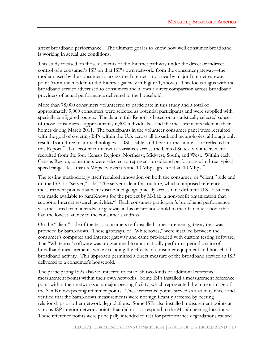affect broadband performance. The ultimate goal is to know how well consumer broadband is working in actual use conditions.

This study focused on those elements of the Internet pathway under the direct or indirect control of a consumer's ISP on that ISP's own network: from the consumer gateway—the modem used by the consumer to access the Internet—to a nearby major Internet gateway point (from the modem to the Internet gateway in Figure 1, above). This focus aligns with the broadband service advertised to consumers and allows a direct comparison across broadband providers of actual performance delivered to the household.

More than 78,000 consumers volunteered to participate in this study and a total of approximately 9,000 consumers were selected as potential participants and were supplied with specially configured routers. The data in this Report is based on a statistically selected subset of those consumers—approximately 6,800 individuals—and the measurements taken in their homes during March 2011. The participants in the volunteer consumer panel were recruited with the goal of covering ISPs within the U.S. across all broadband technologies, although only results from three major technologies—DSL, cable, and fiber-to-the-home—are reflected in this Report.<sup>25</sup> To account for network variances across the United States, volunteers were recruited from the four Census Regions: Northeast, Midwest, South, and West. Within each Census Region, consumers were selected to represent broadband performance in three typical speed ranges: less than 3 Mbps, between 3 and 10 Mbps, greater than 10 Mbps.<sup>26</sup>

The testing methodology itself required innovation on both the consumer, or "client," side and on the ISP, or "server," side. The server-side infrastructure, which comprised reference measurement points that were distributed geographically across nine different U.S. locations, was made available to SamKnows for the project by M-Lab, a non-profit organization that supports Internet research activities.<sup>27</sup> Each consumer participant's broadband performance was measured from a hardware gateway in his or her household to the off-net test node that had the lowest latency to the consumer's address.

On the "client" side of the test, consumers self-installed a measurement gateway that was provided by SamKnows. These gateways, or "Whiteboxes," were installed between the consumer's computer and Internet gateway and came pre-loaded with custom testing software. The "Whitebox" software was programmed to automatically perform a periodic suite of broadband measurements while excluding the effects of consumer equipment and household broadband activity. This approach permitted a direct measure of the broadband service an ISP delivered to a consumer's household.

The participating ISPs also volunteered to establish two kinds of additional reference measurement points within their own networks. Some ISPs installed a measurement reference point within their networks at a major peering facility, which represented the mirror image of the SamKnows peering reference points. These reference points served as a validity check and verified that the SamKnows measurements were not significantly affected by peering relationships or other network degradations. Some ISPs also installed measurement points at various ISP interior network points that did not correspond to the M-Lab peering locations. These reference points were principally intended to test for performance degradations caused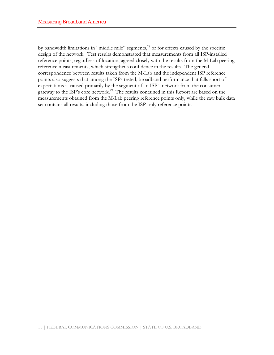by bandwidth limitations in "middle mile" segments,<sup>28</sup> or for effects caused by the specific design of the network. Test results demonstrated that measurements from all ISP-installed reference points, regardless of location, agreed closely with the results from the M-Lab peering reference measurements, which strengthens confidence in the results. The general correspondence between results taken from the M-Lab and the independent ISP reference points also suggests that among the ISPs tested, broadband performance that falls short of expectations is caused primarily by the segment of an ISP's network from the consumer gateway to the ISP's core network.<sup>29</sup> The results contained in this Report are based on the measurements obtained from the M-Lab peering reference points only, while the raw bulk data set contains all results, including those from the ISP-only reference points.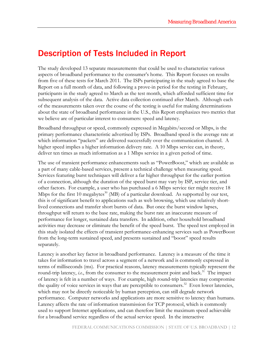### Description of Tests Included in Report

The study developed 13 separate measurements that could be used to characterize various aspects of broadband performance to the consumer's home. This Report focuses on results from five of these tests for March 2011. The ISPs participating in the study agreed to base the Report on a full month of data, and following a prove-in period for the testing in February, participants in the study agreed to March as the test month, which afforded sufficient time for subsequent analysis of the data. Active data collection continued after March. Although each of the measurements taken over the course of the testing is useful for making determinations about the state of broadband performance in the U.S., this Report emphasizes two metrics that we believe are of particular interest to consumers: speed and latency.

Broadband throughput or speed, commonly expressed in Megabits/second or Mbps, is the primary performance characteristic advertised by ISPs. Broadband speed is the average rate at which information "packets" are delivered successfully over the communication channel. A higher speed implies a higher information delivery rate. A 10 Mbps service can, in theory, deliver ten times as much information as a 1 Mbps service in a given period of time.

The use of transient performance enhancements such as "PowerBoost," which are available as a part of many cable-based services, present a technical challenge when measuring speed. Services featuring burst techniques will deliver a far higher throughput for the earlier portion of a connection, although the duration of the speed burst may vary by ISP, service tier, and other factors. For example, a user who has purchased a 6 Mbps service tier might receive 18 Mbps for the first 10 megabytes<sup>30</sup> (MB) of a particular download. As supported by our test, this is of significant benefit to applications such as web browsing, which use relatively shortlived connections and transfer short bursts of data. But once the burst window lapses, throughput will return to the base rate, making the burst rate an inaccurate measure of performance for longer, sustained data transfers. In addition, other household broadband activities may decrease or eliminate the benefit of the speed burst. The speed test employed in this study isolated the effects of transient performance-enhancing services such as PowerBoost from the long-term sustained speed, and presents sustained and "boost" speed results separately.

Latency is another key factor in broadband performance. Latency is a measure of the time it takes for information to travel across a segment of a network and is commonly expressed in terms of milliseconds (ms). For practical reasons, latency measurements typically represent the round-trip latency, *i.e.*, from the consumer to the measurement point and back.<sup>31</sup> The impact of latency is felt in a number of ways. For example, high round-trip latencies may compromise the quality of voice services in ways that are perceptible to consumers.<sup>32</sup> Even lower latencies, which may not be directly noticeable by human perception, can still degrade network performance. Computer networks and applications are more sensitive to latency than humans. Latency affects the rate of information transmission for TCP protocol, which is commonly used to support Internet applications, and can therefore limit the maximum speed achievable for a broadband service regardless of the actual service speed. In the interactive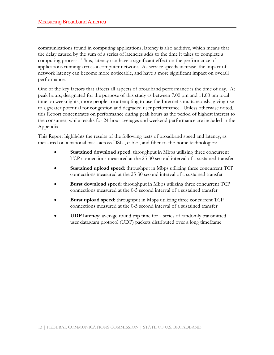communications found in computing applications, latency is also additive, which means that the delay caused by the sum of a series of latencies adds to the time it takes to complete a computing process. Thus, latency can have a significant effect on the performance of applications running across a computer network. As service speeds increase, the impact of network latency can become more noticeable, and have a more significant impact on overall performance.

One of the key factors that affects all aspects of broadband performance is the time of day. At peak hours, designated for the purpose of this study as between 7:00 pm and 11:00 pm local time on weeknights, more people are attempting to use the Internet simultaneously, giving rise to a greater potential for congestion and degraded user performance. Unless otherwise noted, this Report concentrates on performance during peak hours as the period of highest interest to the consumer, while results for 24-hour averages and weekend performance are included in the Appendix.

This Report highlights the results of the following tests of broadband speed and latency, as measured on a national basis across DSL-, cable-, and fiber-to-the-home technologies:

- **Sustained download speed**: throughput in Mbps utilizing three concurrent TCP connections measured at the 25-30 second interval of a sustained transfer
- **Sustained upload speed**: throughput in Mbps utilizing three concurrent TCP connections measured at the 25-30 second interval of a sustained transfer
- **Burst download speed**: throughput in Mbps utilizing three concurrent TCP connections measured at the 0-5 second interval of a sustained transfer
- **Burst upload speed**: throughput in Mbps utilizing three concurrent TCP connections measured at the 0-5 second interval of a sustained transfer
- **UDP latency**: average round trip time for a series of randomly transmitted user datagram protocol (UDP) packets distributed over a long timeframe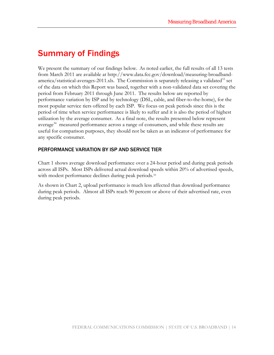# Summary of Findings

We present the summary of our findings below. As noted earlier, the full results of all 13 tests from March 2011 are available at http://www.data.fcc.gov/download/measuring-broadbandamerica/statistical-averages-2011.xls. The Commission is separately releasing a validated<sup>33</sup> set of the data on which this Report was based, together with a non-validated data set covering the period from February 2011 through June 2011. The results below are reported by performance variation by ISP and by technology (DSL, cable, and fiber-to-the-home), for the most popular service tiers offered by each ISP. We focus on peak periods since this is the period of time when service performance is likely to suffer and it is also the period of highest utilization by the average consumer. As a final note, the results presented below represent average<sup>34</sup> measured performance across a range of consumers, and while these results are useful for comparison purposes, they should not be taken as an indicator of performance for any specific consumer.

#### PERFORMANCE VARIATION BY ISP AND SERVICE TIER

Chart 1 shows average download performance over a 24-hour period and during peak periods across all ISPs. Most ISPs delivered actual download speeds within 20% of advertised speeds, with modest performance declines during peak periods.<sup>35</sup>

As shown in Chart 2, upload performance is much less affected than download performance during peak periods. Almost all ISPs reach 90 percent or above of their advertised rate, even during peak periods.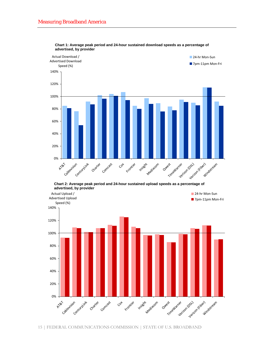

**Chart 1: Average peak period and 24-hour sustained download speeds as a percentage of advertised, by provider**

**Chart 2: Average peak period and 24-hour sustained upload speeds as a percentage of advertised, by provider**

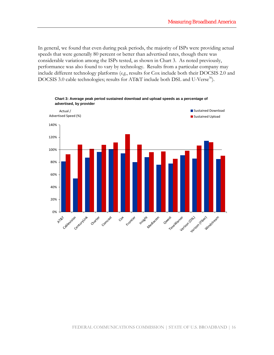In general, we found that even during peak periods, the majority of ISPs were providing actual speeds that were generally 80 percent or better than advertised rates, though there was considerable variation among the ISPs tested, as shown in Chart 3. As noted previously, performance was also found to vary by technology. Results from a particular company may include different technology platforms (*e.g.*, results for Cox include both their DOCSIS 2.0 and DOCSIS 3.0 cable technologies; results for AT&T include both DSL and U-Verse<sup>36</sup>).

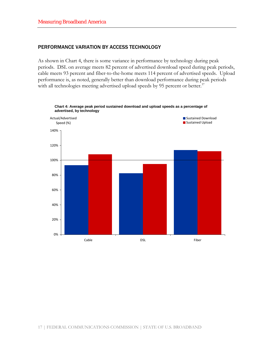#### PERFORMANCE VARIATION BY ACCESS TECHNOLOGY

As shown in Chart 4, there is some variance in performance by technology during peak periods. DSL on average meets 82 percent of advertised download speed during peak periods, cable meets 93 percent and fiber-to-the-home meets 114 percent of advertised speeds. Upload performance is, as noted, generally better than download performance during peak periods with all technologies meeting advertised upload speeds by 95 percent or better.<sup>37</sup>



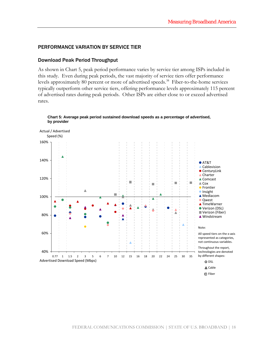#### PERFORMANCE VARIATION BY SERVICE TIER

#### Download Peak Period Throughput

As shown in Chart 5, peak period performance varies by service tier among ISPs included in this study. Even during peak periods, the vast majority of service tiers offer performance levels approximately 80 percent or more of advertised speeds.<sup>38</sup> Fiber-to-the-home services typically outperform other service tiers, offering performance levels approximately 115 percent of advertised rates during peak periods. Other ISPs are either close to or exceed advertised rates.



#### **Chart 5: Average peak period sustained download speeds as a percentage of advertised, by provider**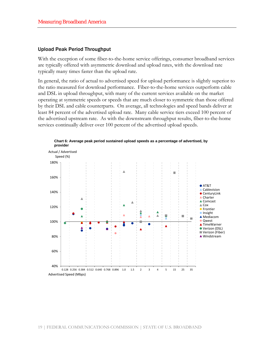#### Upload Peak Period Throughput

With the exception of some fiber-to-the-home service offerings, consumer broadband services are typically offered with asymmetric download and upload rates, with the download rate typically many times faster than the upload rate.

In general, the ratio of actual to advertised speed for upload performance is slightly superior to the ratio measured for download performance. Fiber-to-the-home services outperform cable and DSL in upload throughput, with many of the current services available on the market operating at symmetric speeds or speeds that are much closer to symmetric than those offered by their DSL and cable counterparts. On average, all technologies and speed bands deliver at least 84 percent of the advertised upload rate. Many cable service tiers exceed 100 percent of the advertised upstream rate. As with the downstream throughput results, fiber-to-the-home services continually deliver over 100 percent of the advertised upload speeds.



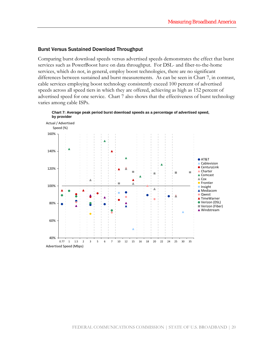#### Burst Versus Sustained Download Throughput

Comparing burst download speeds versus advertised speeds demonstrates the effect that burst services such as PowerBoost have on data throughput. For DSL- and fiber-to-the-home services, which do not, in general, employ boost technologies, there are no significant differences between sustained and burst measurements. As can be seen in Chart 7, in contrast, cable services employing boost technology consistently exceed 100 percent of advertised speeds across all speed tiers in which they are offered, achieving as high as 152 percent of advertised speed for one service. Chart 7 also shows that the effectiveness of burst technology varies among cable ISPs.



**Chart 7: Average peak period burst download speeds as a percentage of advertised speed,**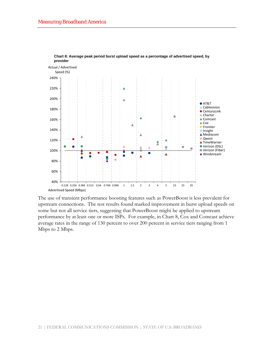

**Chart 8: Average peak period burst upload speed as a percentage of advertised speed, by provider**

The use of transient performance boosting features such as PowerBoost is less prevalent for upstream connections. The test results found marked improvement in burst upload speeds on some but not all service tiers, suggesting that PowerBoost might be applied to upstream performance by at least one or more ISPs. For example, in Chart 8, Cox and Comcast achieve average rates in the range of 130 percent to over 200 percent in service tiers ranging from 1 Mbps to 2 Mbps.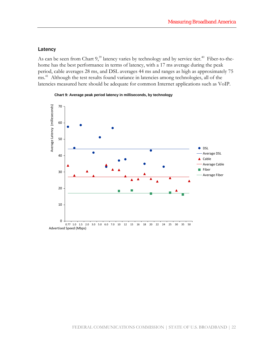#### Latency

As can be seen from Chart 9,<sup>39</sup> latency varies by technology and by service tier.<sup>40</sup> Fiber-to-thehome has the best performance in terms of latency, with a 17 ms average during the peak period, cable averages 28 ms, and DSL averages 44 ms and ranges as high as approximately 75 ms.41 Although the test results found variance in latencies among technologies, all of the latencies measured here should be adequate for common Internet applications such as VoIP.



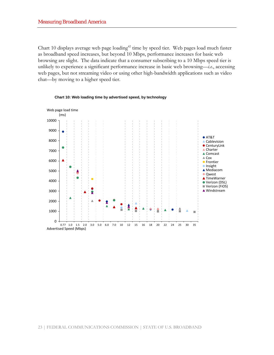Chart 10 displays average web page loading<sup>42</sup> time by speed tier. Web pages load much faster as broadband speed increases, but beyond 10 Mbps, performance increases for basic web browsing are slight. The data indicate that a consumer subscribing to a 10 Mbps speed tier is unlikely to experience a significant performance increase in basic web browsing—*i.e.*, accessing web pages, but not streaming video or using other high-bandwidth applications such as video chat—by moving to a higher speed tier.



**Chart 10: Web loading time by advertised speed, by technology**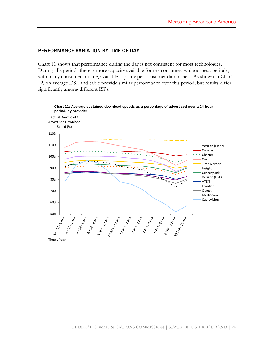#### PERFORMANCE VARIATION BY TIME OF DAY

Chart 11 shows that performance during the day is not consistent for most technologies. During idle periods there is more capacity available for the consumer, while at peak periods, with many consumers online, available capacity per consumer diminishes. As shown in Chart 12, on average DSL and cable provide similar performance over this period, but results differ significantly among different ISPs.

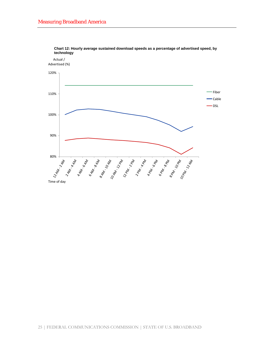

**Chart 12: Hourly average sustained download speeds as a percentage of advertised speed, by technology**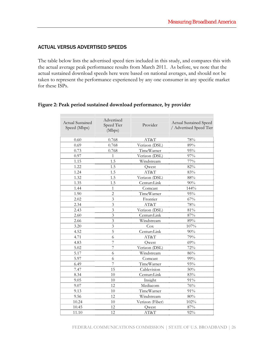#### ACTUAL VERSUS ADVERTISED SPEEDS

The table below lists the advertised speed tiers included in this study, and compares this with the actual average peak performance results from March 2011. As before, we note that the actual sustained download speeds here were based on national averages, and should not be taken to represent the performance experienced by any one consumer in any specific market for these ISPs.

| <b>Actual Sustained</b><br>Speed (Mbps) | Advertised<br>Speed Tier<br>(Mbps) | Provider        | <b>Actual Sustained Speed</b><br>/ Advertised Speed Tier |
|-----------------------------------------|------------------------------------|-----------------|----------------------------------------------------------|
| 0.60                                    | 0.768                              | AT&T            | 78%                                                      |
| 0.69                                    | 0.768                              | Verizon (DSL)   | 89%                                                      |
| 0.73                                    | 0.768                              | TimeWarner      | 95%                                                      |
| 0.97                                    | 1                                  | Verizon (DSL)   | 97%                                                      |
| 1.15                                    | 1.5                                | Windstream      | $77\%$                                                   |
| 1.22                                    | 1.5                                | Qwest           | 82%                                                      |
| 1.24                                    | 1.5                                | AT&T            | 83%                                                      |
| 1.32                                    | 1.5                                | Verizon (DSL)   | 88%                                                      |
| 1.35                                    | 1.5                                | CenturyLink     | 90%                                                      |
| 1.44                                    | $\mathbf{1}$                       | Comcast         | 144%                                                     |
| 1.90                                    | $\overline{c}$                     | TimeWarner      | 95%                                                      |
| 2.02                                    | 3                                  | Frontier        | 67%                                                      |
| 2.34                                    | 3                                  | AT&T            | 78%                                                      |
| 2.43                                    | 3                                  | Verizon (DSL)   | $81\%$                                                   |
| 2.60                                    | 3                                  | CenturyLink     | 87%                                                      |
| 2.66                                    | 3                                  | Windstream      | $89\%$                                                   |
| 3.20                                    | 3                                  | Cox             | 107%                                                     |
| 4.52                                    | 5                                  | CenturyLink     | 90%                                                      |
| 4.71                                    | 6                                  | AT&T            | 79%                                                      |
| 4.83                                    | 7                                  | Qwest           | 69%                                                      |
| 5.02                                    | 7                                  | Verizon (DSL)   | 72%                                                      |
| 5.17                                    | 6                                  | Windstream      | $86\%$                                                   |
| 5.97                                    | 6                                  | Comcast         | 99%                                                      |
| 6.49                                    | 7                                  | TimeWarner      | 93%                                                      |
| 7.47                                    | 15                                 | Cablevision     | 50%                                                      |
| 8.34                                    | 10                                 | CenturyLink     | $83\%$                                                   |
| 9.05                                    | 10                                 | Insight         | 91%                                                      |
| 9.07                                    | 12                                 | Mediacom        | $76\%$                                                   |
| 9.13                                    | 10                                 | TimeWarner      | 91%                                                      |
| 9.56                                    | 12                                 | Windstream      | $80\%$                                                   |
| 10.24                                   | 10                                 | Verizon (Fiber) | 102%                                                     |
| 10.45                                   | 12                                 | Qwest           | $87\%$                                                   |
| 11.10                                   | 12                                 | AT&T            | 92%                                                      |

#### **Figure 2: Peak period sustained download performance, by provider**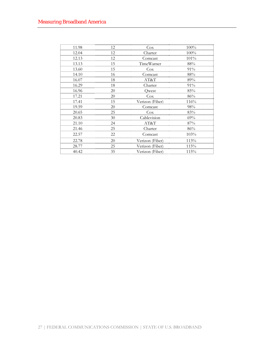| 11.98 | 12 | $\frac{\cos x}{\cos x}$ | 100%   |
|-------|----|-------------------------|--------|
| 12.04 | 12 | Charter                 | 100%   |
| 12.13 | 12 | Comcast                 | 101%   |
| 13.13 | 15 | <b>TimeWarner</b>       | 88%    |
| 13.60 | 15 | $\cos$                  | 91%    |
| 14.10 | 16 | Comcast                 | $88\%$ |
| 16.07 | 18 | AT&T                    | 89%    |
| 16.29 | 18 | Charter                 | 91%    |
| 16.96 | 20 | Owest                   | 85%    |
| 17.21 | 20 | Cox                     | 86%    |
| 17.41 | 15 | Verizon (Fiber)         | 116%   |
| 19.59 | 20 | Comcast                 | 98%    |
| 20.65 | 25 | Cox                     | 83%    |
| 20.83 | 30 | Cablevision             | 69%    |
| 21.10 | 24 | AT&T                    | 87%    |
| 21.46 | 25 | Charter                 | 86%    |
| 22.57 | 22 | Comcast                 | 103%   |
| 22.78 | 20 | <u>Verizon (Fiber)</u>  | 113%   |
| 28.77 | 25 | <u>Verizon (Fiber)</u>  | 115%   |
| 40.42 | 35 | Verizon (Fiber)         | 115%   |
|       |    |                         |        |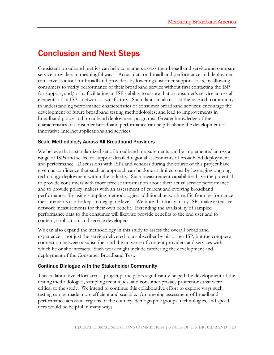### Conclusion and Next Steps

Consistent broadband metrics can help consumers assess their broadband service and compare service providers in meaningful ways. Actual data on broadband performance and deployment can serve as a tool for broadband providers by lowering customer support costs, by allowing consumers to verify performance of their broadband service without first contacting the ISP for support, and/or by facilitating an ISP's ability to assure that a consumer's service across all elements of an ISP's network is satisfactory. Such data can also assist the research community in understanding performance characteristics of consumer broadband services; encourage the development of future broadband testing methodologies; and lead to improvements in broadband policy and broadband deployment programs. Greater knowledge of the characteristics of consumer broadband performance can help facilitate the development of innovative Internet applications and services.

#### Scale Methodology Across All Broadband Providers

We believe that a standardized set of broadband measurements can be implemented across a range of ISPs and scaled to support detailed regional assessments of broadband deployment and performance. Discussions with ISPs and vendors during the course of this project have given us confidence that such an approach can be done at limited cost by leveraging ongoing technology deployment within the industry. Such measurement capabilities have the potential to provide consumers with more precise information about their actual service performance and to provide policy makers with an assessment of current and evolving broadband performance. By using sampling methodologies, additional network traffic from performance measurements can be kept to negligible levels. We note that today many ISPs make extensive network measurements for their own benefit. Extending the availability of sampled performance data to the consumer will likewise provide benefits to the end user and to content, application, and service developers.

We can also expand the methodology in this study to assess the overall broadband experience—not just the service delivered to a subscriber by his or her ISP, but the complete connection between a subscriber and the universe of content providers and services with which he or she interacts. Such work might include furthering the development and deployment of the Consumer Broadband Test.

#### Continue Dialogue with the Stakeholder Community

This collaborative effort across project participants significantly helped the development of the testing methodologies, sampling techniques, and consumer privacy protections that were critical to the study. We intend to continue this collaborative effort to explore ways such testing can be made more efficient and scalable. An ongoing assessment of broadband performance across all regions of the country, demographic groups, technologies, and speed tiers would be helpful in many ways.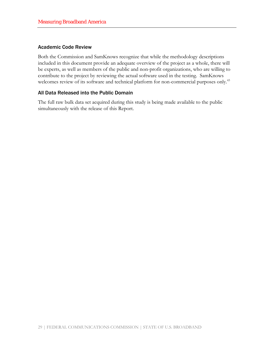#### Academic Code Review

Both the Commission and SamKnows recognize that while the methodology descriptions included in this document provide an adequate overview of the project as a whole, there will be experts, as well as members of the public and non-profit organizations, who are willing to contribute to the project by reviewing the actual software used in the testing. SamKnows welcomes review of its software and technical platform for non-commercial purposes only.<sup>43</sup>

#### All Data Released into the Public Domain

The full raw bulk data set acquired during this study is being made available to the public simultaneously with the release of this Report.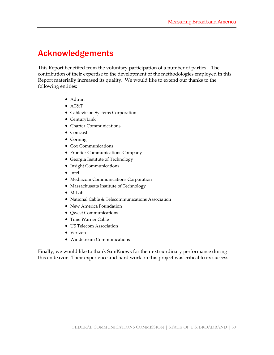## Acknowledgements

This Report benefited from the voluntary participation of a number of parties. The contribution of their expertise to the development of the methodologies employed in this Report materially increased its quality. We would like to extend our thanks to the following entities:

- Adtran
- AT&T
- Cablevision Systems Corporation
- CenturyLink
- Charter Communications
- Comcast
- Corning
- Cox Communications
- Frontier Communications Company
- Georgia Institute of Technology
- Insight Communications
- Intel
- Mediacom Communications Corporation
- Massachusetts Institute of Technology
- M-Lab
- National Cable & Telecommunications Association
- New America Foundation
- Qwest Communications
- Time Warner Cable
- US Telecom Association
- Verizon
- Windstream Communications

Finally, we would like to thank SamKnows for their extraordinary performance during this endeavor. Their experience and hard work on this project was critical to its success.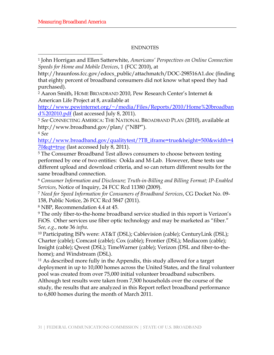#### ENDNOTES

1 John Horrigan and Ellen Satterwhite, *Americans' Perspectives on Online Connection Speeds for Home and Mobile Devices*, 1 (FCC 2010), at

http://hraunfoss.fcc.gov/edocs\_public/attachmatch/DOC-298516A1.doc (finding that eighty percent of broadband consumers did not know what speed they had purchased).

2 Aaron Smith, HOME BROADBAND 2010, Pew Research Center's Internet & American Life Project at 8, available at

http://www.pewinternet.org/~/media/Files/Reports/2010/Home%20broadban d%202010.pdf (last accessed July 8, 2011).

<sup>3</sup> *See* CONNECTING AMERICA: THE NATIONAL BROADBAND PLAN (2010), available at http://www.broadband.gov/plan/ ("NBP").

<sup>4</sup> *See*

**.** 

http://www.broadband.gov/qualitytest/?TB\_iframe=true&height=500&width=4 70&qt=true (last accessed July 8, 2011).

<sup>5</sup> The Consumer Broadband Test allows consumers to choose between testing performed by one of two entities: Ookla and M-Lab. However, these tests use different upload and download criteria, and so can return different results for the same broadband connection.

<sup>6</sup> *Consumer Information and Disclosure; Truth-in-Billing and Billing Format; IP-Enabled Services*, Notice of Inquiry, 24 FCC Rcd 11380 (2009).

<sup>7</sup> *Need for Speed Information for Consumers of Broadband Services*, CG Docket No. 09- 158, Public Notice, 26 FCC Rcd 5847 (2011).

8 NBP, Recommendation 4.4 at 45.

9 The only fiber-to-the-home broadband service studied in this report is Verizon's FiOS. Other services use fiber optic technology and may be marketed as "fiber." *See, e.g.*, note 36 *infra*.<br><sup>10</sup> Participating ISPs were: AT&T (DSL); Cablevision (cable); CenturyLink (DSL);

Charter (cable); Comcast (cable); Cox (cable); Frontier (DSL); Mediacom (cable); Insight (cable); Qwest (DSL); TimeWarner (cable); Verizon (DSL and fiber-to-thehome); and Windstream (DSL).

11 As described more fully in the Appendix, this study allowed for a target deployment in up to 10,000 homes across the United States, and the final volunteer pool was created from over 75,000 initial volunteer broadband subscribers. Although test results were taken from 7,500 households over the course of the study, the results that are analyzed in this Report reflect broadband performance to 6,800 homes during the month of March 2011.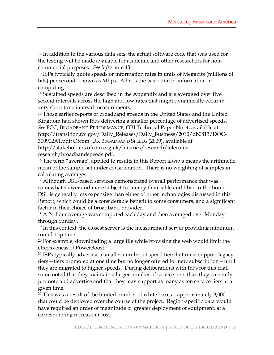12 In addition to the various data sets, the actual software code that was used for the testing will be made available for academic and other researchers for noncommercial purposes. *See infra* note 43.

 $\overline{a}$ 

13 ISPs typically quote speeds or information rates in units of Megabits (millions of bits) per second, known as Mbps. A bit is the basic unit of information in computing.

14 Sustained speeds are described in the Appendix and are averaged over five second intervals across the high and low rates that might dynamically occur in very short time interval measurements.

15 Those earlier reports of broadband speeds in the United States and the United Kingdom had shown ISPs delivering a smaller percentage of advertised speeds. *See* FCC, BROADBAND PERFORMANCE, OBI Technical Paper No. 4, available at http://transition.fcc.gov/Daily\_Releases/Daily\_Business/2010/db0813/DOC-300902A1.pdf; Ofcom, UK BROADBAND SPEEDS (2009), available at http://stakeholders.ofcom.org.uk/binaries/research/telecomsresearch/broadbandspeeds.pdf.

16 The term "average" applied to results in this Report always means the arithmetic mean of the sample set under consideration. There is no weighting of samples in calculating averages.

17 Although DSL-based services demonstrated overall performance that was somewhat slower and more subject to latency than cable and fiber-to-the-home, DSL is generally less expensive than either of other technologies discussed in this Report, which could be a considerable benefit to some consumers, and a significant factor in their choice of broadband provider.

18 A 24-hour average was computed each day and then averaged over Monday through Sunday.

<sup>19</sup> In this context, the closest server is the measurement server providing minimum round-trip time.

<sup>20</sup> For example, downloading a large file while browsing the web would limit the effectiveness of PowerBoost.

21 ISPs typically advertise a smaller number of speed tiers but must support legacy tiers—tiers promoted at one time but no longer offered for new subscription—until they are migrated to higher speeds. During deliberations with ISPs for this trial, some noted that they maintain a larger number of service tiers than they currently promote and advertise and that they may support as many as ten service tiers at a given time.

<sup>22</sup> This was a result of the limited number of white boxes  $-$  approximately  $9,000$ that could be deployed over the course of the project. Region-specific data would have required an order of magnitude or greater deployment of equipment, at a corresponding increase in cost.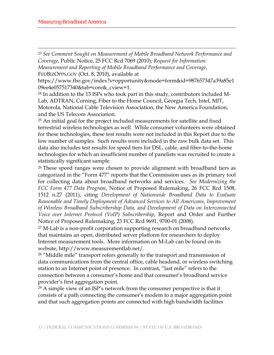$\overline{a}$ 

<sup>23</sup> *See Comment Sought on Measurement of Mobile Broadband Network Performance and Coverage*, Public Notice, 25 FCC Rcd 7069 (2010); *Request for Information: Measurement and Reporting of Mobile Broadband Performance and Coverage*,

FEDBIZOPPS.GOV (Oct. 8, 2010), available at

https://www.fbo.gov/index?s=opportunity&mode=form&id=987657347a39a85e1 09ee4e057517340&tab=core&\_cview=1.

24 In addition to the 13 ISPs who took part in this study, contributors included M-Lab, ADTRAN, Corning, Fiber to the Home Council, Georgia Tech, Intel, MIT, Motorola, National Cable Television Association, the New America Foundation, and the US Telecom Association.

25 An initial goal for the project included measurements for satellite and fixed terrestrial wireless technologies as well. While consumer volunteers were obtained for these technologies, these test results were not included in this Report due to the low number of samples. Such results were included in the raw bulk data set. This data also includes test results for speed tiers for DSL, cable, and fiber-to-the-home technologies for which an insufficient number of panelists was recruited to create a statistically significant sample.

26 These speed ranges were chosen to provide alignment with broadband tiers as categorized in the "Form 477" reports that the Commission uses as its primary tool for collecting data about broadband networks and services. *See Modernizing the FCC Form 477 Data Program*, Notice of Proposed Rulemaking, 26 FCC Rcd 1508, 1512 n.27 (2011), citing *Development of Nationwide Broadband Data to Evaluate Reasonable and Timely Deployment of Advanced Services to All Americans, Improvement of Wireless Broadband Subscribership Data, and Development of Data on Interconnected Voice over Internet Protocol (VoIP) Subscribership*, Report and Order and Further Notice of Proposed Rulemaking, 23 FCC Rcd 9691, 9700-01 (2008).

27 M-Lab is a non-profit corporation supporting research on broadband networks that maintains an open, distributed server platform for researchers to deploy Internet measurement tools. More information on M-Lab can be found on its website, http://www.measurementlab.net/.

<sup>28</sup> "Middle mile" transport refers generally to the transport and transmission of data communications from the central office, cable headend, or wireless switching station to an Internet point of presence. In contrast, "last mile" refers to the connection between a consumer's home and that consumer's broadband service provider's first aggregation point.

29 A simple view of an ISP's network from the consumer perspective is that it consists of a path connecting the consumer's modem to a major aggregation point and that such aggregation points are connected with high bandwidth facilities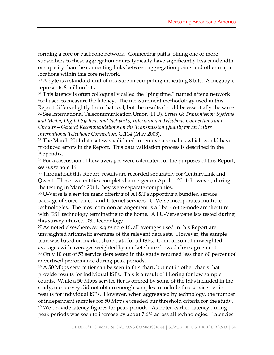forming a core or backbone network. Connecting paths joining one or more subscribers to these aggregation points typically have significantly less bandwidth or capacity than the connecting links between aggregation points and other major locations within this core network.

 $\overline{a}$ 

<sup>30</sup> A byte is a standard unit of measure in computing indicating 8 bits. A megabyte represents 8 million bits.

<sup>31</sup> This latency is often colloquially called the "ping time," named after a network tool used to measure the latency. The measurement methodology used in this Report differs slightly from that tool, but the results should be essentially the same.

32 See International Telecommunication Union (ITU), *Series G: Transmission Systems and Media, Digital Systems and Networks; International Telephone Connections and Circuits—General Recommendations on the Transmission Quality for an Entire International Telephone Connection*, G.114 (May 2003).

33 The March 2011 data set was validated to remove anomalies which would have produced errors in the Report. This data validation process is described in the Appendix.

<sup>34</sup> For a discussion of how averages were calculated for the purposes of this Report, *see supra* note 16.

<sup>35</sup> Throughout this Report, results are recorded separately for CenturyLink and Qwest. These two entities completed a merger on April 1, 2011; however, during the testing in March 2011, they were separate companies.

36 U-Verse is a service mark offering of AT&T supporting a bundled service package of voice, video, and Internet services. U-Verse incorporates multiple technologies. The most common arrangement is a fiber-to-the-node architecture with DSL technology terminating to the home. All U-Verse panelists tested during this survey utilized DSL technology.

37 As noted elsewhere, *see supra* note 16, all averages used in this Report are unweighted arithmetic averages of the relevant data sets. However, the sample plan was based on market share data for all ISPs. Comparison of unweighted averages with averages weighted by market share showed close agreement. 38 Only 10 out of 53 service tiers tested in this study returned less than 80 percent of advertised performance during peak periods.

39 A 50 Mbps service tier can be seen in this chart, but not in other charts that provide results for individual ISPs. This is a result of filtering for low sample counts. While a 50 Mbps service tier is offered by some of the ISPs included in the study, our survey did not obtain enough samples to include this service tier in results for individual ISPs. However, when aggregated by technology, the number of independent samples for 50 Mbps exceeded our threshold criteria for the study. <sup>40</sup> We provide latency figures for peak periods. As noted earlier, latency during peak periods was seen to increase by about 7.6% across all technologies. Latencies